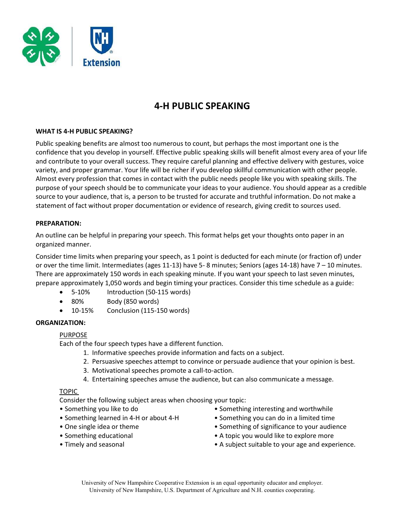

# 4-H PUBLIC SPEAKING

## WHAT IS 4-H PUBLIC SPEAKING?

Public speaking benefits are almost too numerous to count, but perhaps the most important one is the confidence that you develop in yourself. Effective public speaking skills will benefit almost every area of your life and contribute to your overall success. They require careful planning and effective delivery with gestures, voice variety, and proper grammar. Your life will be richer if you develop skillful communication with other people. Almost every profession that comes in contact with the public needs people like you with speaking skills. The purpose of your speech should be to communicate your ideas to your audience. You should appear as a credible source to your audience, that is, a person to be trusted for accurate and truthful information. Do not make a statement of fact without proper documentation or evidence of research, giving credit to sources used.

#### PREPARATION:

An outline can be helpful in preparing your speech. This format helps get your thoughts onto paper in an organized manner.

Consider time limits when preparing your speech, as 1 point is deducted for each minute (or fraction of) under or over the time limit. Intermediates (ages 11-13) have 5- 8 minutes; Seniors (ages 14-18) have 7 – 10 minutes. There are approximately 150 words in each speaking minute. If you want your speech to last seven minutes, prepare approximately 1,050 words and begin timing your practices. Consider this time schedule as a guide:

- 5-10% Introduction (50-115 words)
- 80% Body (850 words)
- 10-15% Conclusion (115-150 words)

#### ORGANIZATION:

#### PURPOSE

Each of the four speech types have a different function.

- 1. Informative speeches provide information and facts on a subject.
- 2. Persuasive speeches attempt to convince or persuade audience that your opinion is best.
- 3. Motivational speeches promote a call-to-action.
- 4. Entertaining speeches amuse the audience, but can also communicate a message.

## TOPIC

Consider the following subject areas when choosing your topic:

- Something you like to do
- Something learned in 4-H or about 4-H
- One single idea or theme
- Something educational
- Timely and seasonal
- Something interesting and worthwhile
- Something you can do in a limited time
- Something of significance to your audience
- A topic you would like to explore more
- A subject suitable to your age and experience.

University of New Hampshire Cooperative Extension is an equal opportunity educator and employer. University of New Hampshire, U.S. Department of Agriculture and N.H. counties cooperating.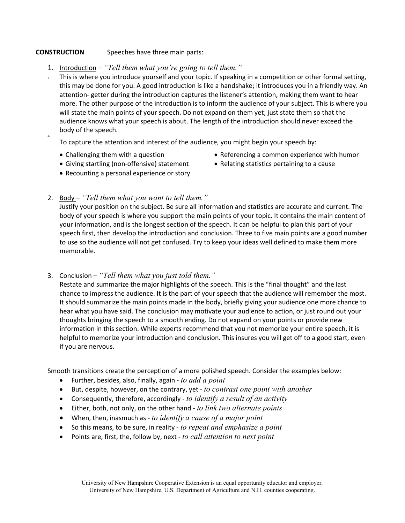# CONSTRUCTION Speeches have three main parts:

- 1. Introduction "Tell them what you're going to tell them."
- 2. This is where you introduce yourself and your topic. If speaking in a competition or other formal setting, this may be done for you. A good introduction is like a handshake; it introduces you in a friendly way. An attention- getter during the introduction captures the listener's attention, making them want to hear more. The other purpose of the introduction is to inform the audience of your subject. This is where you will state the main points of your speech. Do not expand on them yet; just state them so that the audience knows what your speech is about. The length of the introduction should never exceed the body of the speech.

To capture the attention and interest of the audience, you might begin your speech by:

Challenging them with a question

3.

- Referencing a common experience with humor
- Giving startling (non-offensive) statement
- Recounting a personal experience or story • Relating statistics pertaining to a cause
- 
- 2. Body "Tell them what you want to tell them."

 Justify your position on the subject. Be sure all information and statistics are accurate and current. The body of your speech is where you support the main points of your topic. It contains the main content of your information, and is the longest section of the speech. It can be helpful to plan this part of your speech first, then develop the introduction and conclusion. Three to five main points are a good number to use so the audience will not get confused. Try to keep your ideas well defined to make them more memorable.

3. Conclusion – "Tell them what you just told them."

 Restate and summarize the major highlights of the speech. This is the "final thought" and the last chance to impress the audience. It is the part of your speech that the audience will remember the most. It should summarize the main points made in the body, briefly giving your audience one more chance to hear what you have said. The conclusion may motivate your audience to action, or just round out your thoughts bringing the speech to a smooth ending. Do not expand on your points or provide new information in this section. While experts recommend that you not memorize your entire speech, it is helpful to memorize your introduction and conclusion. This insures you will get off to a good start, even if you are nervous.

Smooth transitions create the perception of a more polished speech. Consider the examples below:

- **•** Further, besides, also, finally, again to add a point
- But, despite, however, on the contrary, yet to contrast one point with another
- Consequently, therefore, accordingly to identify a result of an activity
- $\bullet$  Either, both, not only, on the other hand to link two alternate points
- When, then, inasmuch as  $-$  to identify a cause of a major point
- $\bullet$  So this means, to be sure, in reality to repeat and emphasize a point
- Points are, first, the, follow by, next to call attention to next point